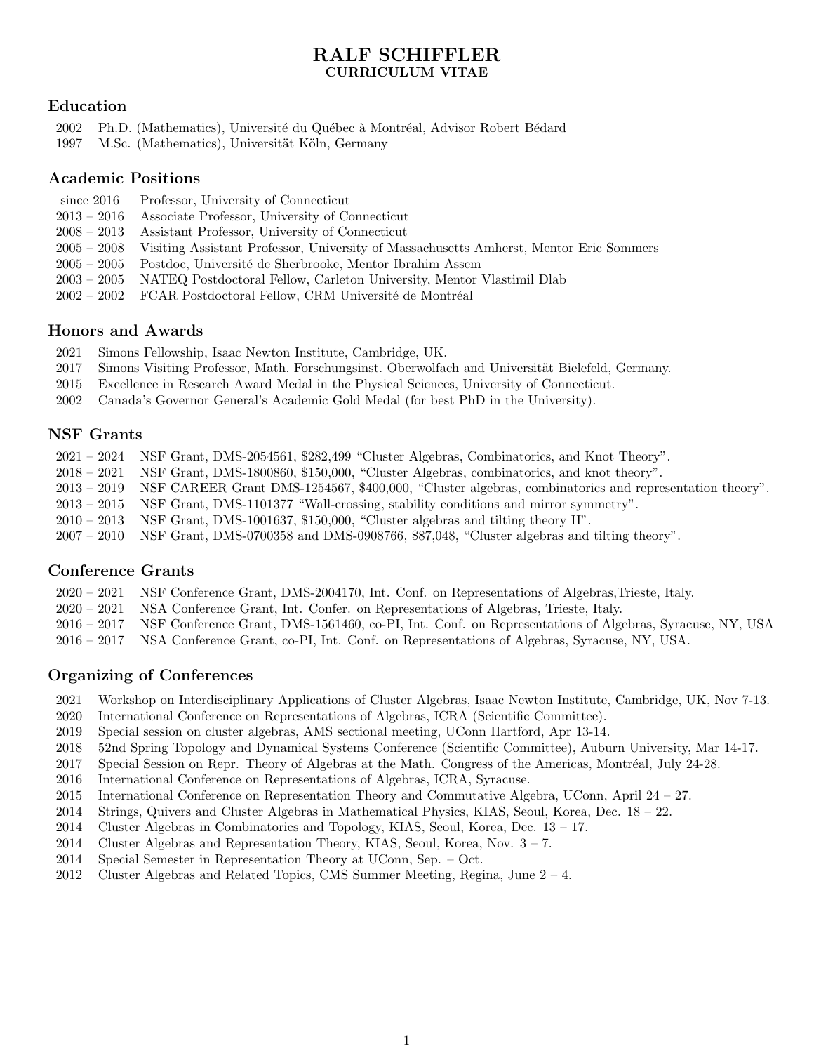# Education

- 2002 Ph.D. (Mathematics), Université du Québec à Montréal, Advisor Robert Bédard
- 1997 M.Sc. (Mathematics), Universität Köln, Germany

# Academic Positions

- since 2016 Professor, University of Connecticut
- 2013 2016 Associate Professor, University of Connecticut
- 2008 2013 Assistant Professor, University of Connecticut
- 2005 2008 Visiting Assistant Professor, University of Massachusetts Amherst, Mentor Eric Sommers
- 2005 2005 Postdoc, Université de Sherbrooke, Mentor Ibrahim Assem
- 2003 2005 NATEQ Postdoctoral Fellow, Carleton University, Mentor Vlastimil Dlab
- 2002 2002 FCAR Postdoctoral Fellow, CRM Université de Montréal

# Honors and Awards

- 2021 Simons Fellowship, Isaac Newton Institute, Cambridge, UK.
- 2017 Simons Visiting Professor, Math. Forschungsinst. Oberwolfach and Universität Bielefeld, Germany.
- 2015 Excellence in Research Award Medal in the Physical Sciences, University of Connecticut.
- 2002 Canada's Governor General's Academic Gold Medal (for best PhD in the University).

# NSF Grants

- 2021 2024 NSF Grant, DMS-2054561, \$282,499 "Cluster Algebras, Combinatorics, and Knot Theory".
- 2018 2021 NSF Grant, DMS-1800860, \$150,000, "Cluster Algebras, combinatorics, and knot theory".
- 2013 2019 NSF CAREER Grant DMS-1254567, \$400,000, "Cluster algebras, combinatorics and representation theory".
- 2013 2015 NSF Grant, DMS-1101377 "Wall-crossing, stability conditions and mirror symmetry".
- 2010 2013 NSF Grant, DMS-1001637, \$150,000, "Cluster algebras and tilting theory II".
- 2007 2010 NSF Grant, DMS-0700358 and DMS-0908766, \$87,048, "Cluster algebras and tilting theory".

# Conference Grants

- 2020 2021 NSF Conference Grant, DMS-2004170, Int. Conf. on Representations of Algebras,Trieste, Italy.
- 2020 2021 NSA Conference Grant, Int. Confer. on Representations of Algebras, Trieste, Italy.
- 2016 2017 NSF Conference Grant, DMS-1561460, co-PI, Int. Conf. on Representations of Algebras, Syracuse, NY, USA
- 2016 2017 NSA Conference Grant, co-PI, Int. Conf. on Representations of Algebras, Syracuse, NY, USA.

# Organizing of Conferences

- 2021 Workshop on Interdisciplinary Applications of Cluster Algebras, Isaac Newton Institute, Cambridge, UK, Nov 7-13.
- 2020 International Conference on Representations of Algebras, ICRA (Scientific Committee).
- 2019 Special session on cluster algebras, AMS sectional meeting, UConn Hartford, Apr 13-14.
- 2018 52nd Spring Topology and Dynamical Systems Conference (Scientific Committee), Auburn University, Mar 14-17.
- 2017 Special Session on Repr. Theory of Algebras at the Math. Congress of the Americas, Montréal, July 24-28.
- 2016 International Conference on Representations of Algebras, ICRA, Syracuse.
- 2015 International Conference on Representation Theory and Commutative Algebra, UConn, April 24 27.
- 2014 Strings, Quivers and Cluster Algebras in Mathematical Physics, KIAS, Seoul, Korea, Dec. 18 22.
- 2014 Cluster Algebras in Combinatorics and Topology, KIAS, Seoul, Korea, Dec. 13 17.
- 2014 Cluster Algebras and Representation Theory, KIAS, Seoul, Korea, Nov.  $3 7$ .
- 2014 Special Semester in Representation Theory at UConn, Sep. Oct.
- 2012 Cluster Algebras and Related Topics, CMS Summer Meeting, Regina, June 2 4.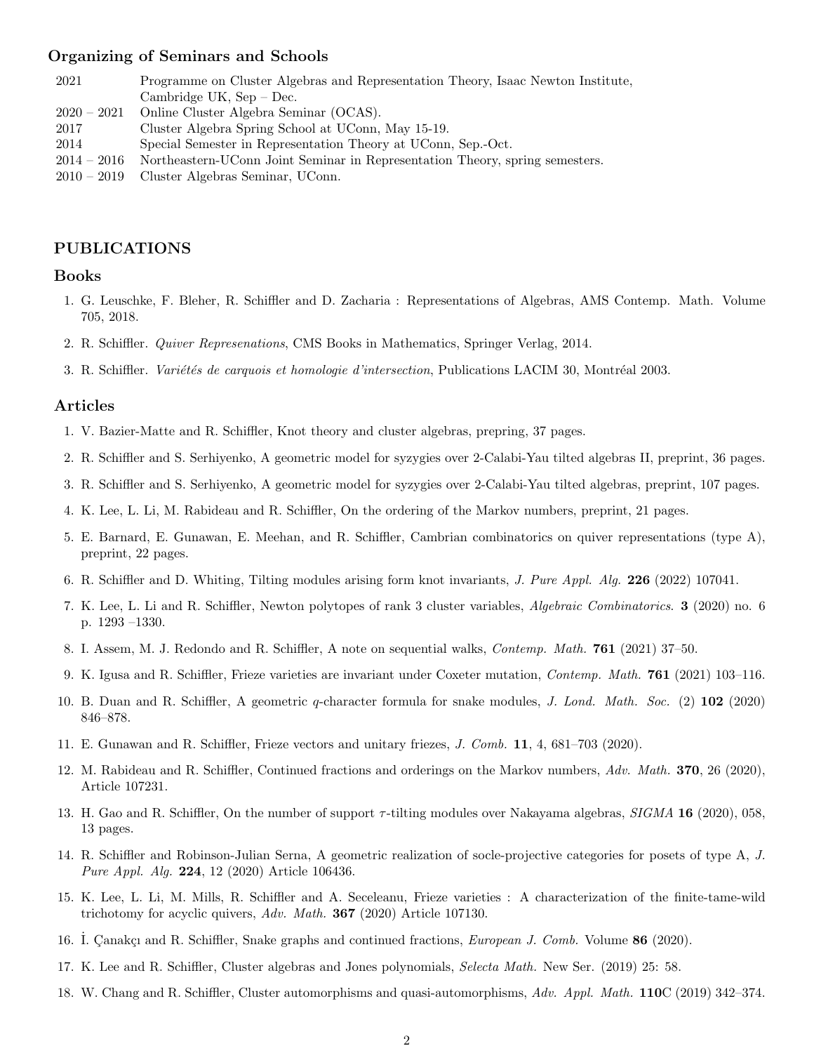#### Organizing of Seminars and Schools

- 2021 Programme on Cluster Algebras and Representation Theory, Isaac Newton Institute, Cambridge UK, Sep – Dec.
- 2020 2021 Online Cluster Algebra Seminar (OCAS).
- 2017 Cluster Algebra Spring School at UConn, May 15-19.
- 2014 Special Semester in Representation Theory at UConn, Sep.-Oct.
- 2014 2016 Northeastern-UConn Joint Seminar in Representation Theory, spring semesters.
- 2010 2019 Cluster Algebras Seminar, UConn.

#### PUBLICATIONS

#### Books

- 1. G. Leuschke, F. Bleher, R. Schiffler and D. Zacharia : Representations of Algebras, AMS Contemp. Math. Volume 705, 2018.
- 2. R. Schiffler. Quiver Represenations, CMS Books in Mathematics, Springer Verlag, 2014.
- 3. R. Schiffler. *Variétés de carquois et homologie d'intersection*, Publications LACIM 30, Montréal 2003.

#### Articles

- 1. V. Bazier-Matte and R. Schiffler, Knot theory and cluster algebras, prepring, 37 pages.
- 2. R. Schiffler and S. Serhiyenko, A geometric model for syzygies over 2-Calabi-Yau tilted algebras II, preprint, 36 pages.
- 3. R. Schiffler and S. Serhiyenko, A geometric model for syzygies over 2-Calabi-Yau tilted algebras, preprint, 107 pages.
- 4. K. Lee, L. Li, M. Rabideau and R. Schiffler, On the ordering of the Markov numbers, preprint, 21 pages.
- 5. E. Barnard, E. Gunawan, E. Meehan, and R. Schiffler, Cambrian combinatorics on quiver representations (type A), preprint, 22 pages.
- 6. R. Schiffler and D. Whiting, Tilting modules arising form knot invariants, J. Pure Appl. Alg. 226 (2022) 107041.
- 7. K. Lee, L. Li and R. Schiffler, Newton polytopes of rank 3 cluster variables, Algebraic Combinatorics. 3 (2020) no. 6 p. 1293 –1330.
- 8. I. Assem, M. J. Redondo and R. Schiffler, A note on sequential walks, Contemp. Math. 761 (2021) 37–50.
- 9. K. Igusa and R. Schiffler, Frieze varieties are invariant under Coxeter mutation, Contemp. Math. 761 (2021) 103–116.
- 10. B. Duan and R. Schiffler, A geometric q-character formula for snake modules, J. Lond. Math. Soc. (2) 102 (2020) 846–878.
- 11. E. Gunawan and R. Schiffler, Frieze vectors and unitary friezes, J. Comb. 11, 4, 681–703 (2020).
- 12. M. Rabideau and R. Schiffler, Continued fractions and orderings on the Markov numbers, Adv. Math. 370, 26 (2020), Article 107231.
- 13. H. Gao and R. Schiffler, On the number of support  $\tau$ -tilting modules over Nakayama algebras, SIGMA 16 (2020), 058, 13 pages.
- 14. R. Schiffler and Robinson-Julian Serna, A geometric realization of socle-projective categories for posets of type A, J. Pure Appl. Alg. 224, 12 (2020) Article 106436.
- 15. K. Lee, L. Li, M. Mills, R. Schiffler and A. Seceleanu, Frieze varieties : A characterization of the finite-tame-wild trichotomy for acyclic quivers, Adv. Math. **367** (2020) Article 107130.
- 16. I. Canakçı and R. Schiffler, Snake graphs and continued fractions, *European J. Comb.* Volume 86 (2020).
- 17. K. Lee and R. Schiffler, Cluster algebras and Jones polynomials, Selecta Math. New Ser. (2019) 25: 58.
- 18. W. Chang and R. Schiffler, Cluster automorphisms and quasi-automorphisms, Adv. Appl. Math. 110C (2019) 342–374.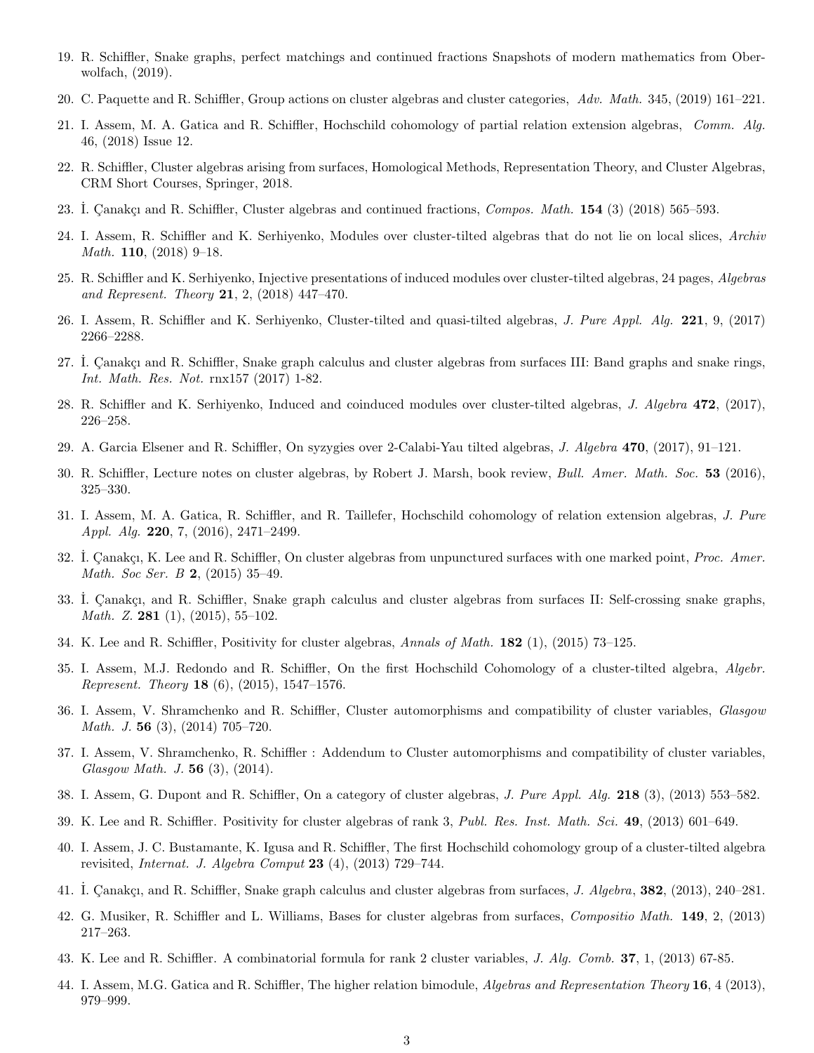- 19. R. Schiffler, Snake graphs, perfect matchings and continued fractions Snapshots of modern mathematics from Oberwolfach, (2019).
- 20. C. Paquette and R. Schiffler, Group actions on cluster algebras and cluster categories, Adv. Math. 345, (2019) 161–221.
- 21. I. Assem, M. A. Gatica and R. Schiffler, Hochschild cohomology of partial relation extension algebras, Comm. Alg. 46, (2018) Issue 12.
- 22. R. Schiffler, Cluster algebras arising from surfaces, Homological Methods, Representation Theory, and Cluster Algebras, CRM Short Courses, Springer, 2018.
- 23. I. Canakçı and R. Schiffler, Cluster algebras and continued fractions, *Compos. Math.*  $154$  (3) (2018) 565–593.
- 24. I. Assem, R. Schiffler and K. Serhiyenko, Modules over cluster-tilted algebras that do not lie on local slices, Archiv Math. 110, (2018) 9–18.
- 25. R. Schiffler and K. Serhiyenko, Injective presentations of induced modules over cluster-tilted algebras, 24 pages, Algebras and Represent. Theory 21, 2, (2018) 447–470.
- 26. I. Assem, R. Schiffler and K. Serhiyenko, Cluster-tilted and quasi-tilted algebras, J. Pure Appl. Alg. 221, 9, (2017) 2266–2288.
- 27. I. Canakçı and R. Schiffler, Snake graph calculus and cluster algebras from surfaces III: Band graphs and snake rings, Int. Math. Res. Not. rnx157 (2017) 1-82.
- 28. R. Schiffler and K. Serhiyenko, Induced and coinduced modules over cluster-tilted algebras, J. Algebra 472, (2017), 226–258.
- 29. A. Garcia Elsener and R. Schiffler, On syzygies over 2-Calabi-Yau tilted algebras, J. Algebra 470, (2017), 91–121.
- 30. R. Schiffler, Lecture notes on cluster algebras, by Robert J. Marsh, book review, Bull. Amer. Math. Soc. 53 (2016), 325–330.
- 31. I. Assem, M. A. Gatica, R. Schiffler, and R. Taillefer, Hochschild cohomology of relation extension algebras, J. Pure Appl. Alg. 220, 7, (2016), 2471–2499.
- 32. I. Canakçı, K. Lee and R. Schiffler, On cluster algebras from unpunctured surfaces with one marked point, *Proc. Amer.* Math. Soc Ser. B 2, (2015) 35–49.
- 33. I. Çanakçı, and R. Schiffler, Snake graph calculus and cluster algebras from surfaces II: Self-crossing snake graphs, *Math. Z.* 281 (1), (2015), 55-102.
- 34. K. Lee and R. Schiffler, Positivity for cluster algebras, Annals of Math. 182 (1), (2015) 73–125.
- 35. I. Assem, M.J. Redondo and R. Schiffler, On the first Hochschild Cohomology of a cluster-tilted algebra, Algebr. Represent. Theory 18 (6), (2015), 1547–1576.
- 36. I. Assem, V. Shramchenko and R. Schiffler, Cluster automorphisms and compatibility of cluster variables, Glasgow Math. J. 56 (3), (2014) 705–720.
- 37. I. Assem, V. Shramchenko, R. Schiffler : Addendum to Cluster automorphisms and compatibility of cluster variables, Glasgow Math. J. 56 (3), (2014).
- 38. I. Assem, G. Dupont and R. Schiffler, On a category of cluster algebras, J. Pure Appl. Alg. 218 (3), (2013) 553–582.
- 39. K. Lee and R. Schiffler. Positivity for cluster algebras of rank 3, Publ. Res. Inst. Math. Sci. 49, (2013) 601–649.
- 40. I. Assem, J. C. Bustamante, K. Igusa and R. Schiffler, The first Hochschild cohomology group of a cluster-tilted algebra revisited, *Internat. J. Algebra Comput* 23 (4), (2013) 729-744.
- 41. I. Çanakçı, and R. Schiffler, Snake graph calculus and cluster algebras from surfaces, J. Algebra, 382, (2013), 240–281.
- 42. G. Musiker, R. Schiffler and L. Williams, Bases for cluster algebras from surfaces, Compositio Math. 149, 2, (2013) 217–263.
- 43. K. Lee and R. Schiffler. A combinatorial formula for rank 2 cluster variables, J. Alg. Comb. 37, 1, (2013) 67-85.
- 44. I. Assem, M.G. Gatica and R. Schiffler, The higher relation bimodule, *Algebras and Representation Theory* 16, 4 (2013), 979–999.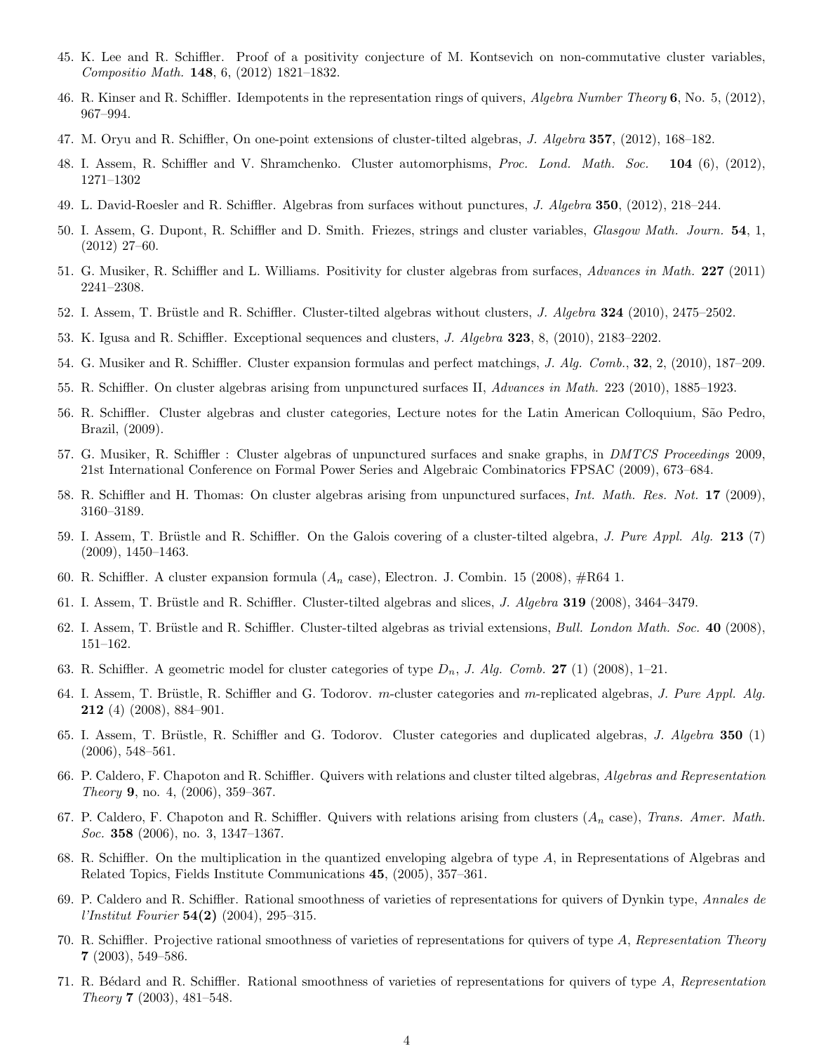- 45. K. Lee and R. Schiffler. Proof of a positivity conjecture of M. Kontsevich on non-commutative cluster variables, Compositio Math. 148, 6, (2012) 1821–1832.
- 46. R. Kinser and R. Schiffler. Idempotents in the representation rings of quivers, *Algebra Number Theory* 6, No. 5, (2012), 967–994.
- 47. M. Oryu and R. Schiffler, On one-point extensions of cluster-tilted algebras, J. Algebra 357, (2012), 168–182.
- 48. I. Assem, R. Schiffler and V. Shramchenko. Cluster automorphisms, Proc. Lond. Math. Soc. 104 (6), (2012), 1271–1302
- 49. L. David-Roesler and R. Schiffler. Algebras from surfaces without punctures, J. Algebra 350, (2012), 218–244.
- 50. I. Assem, G. Dupont, R. Schiffler and D. Smith. Friezes, strings and cluster variables, Glasgow Math. Journ. 54, 1, (2012) 27–60.
- 51. G. Musiker, R. Schiffler and L. Williams. Positivity for cluster algebras from surfaces, Advances in Math. 227 (2011) 2241–2308.
- 52. I. Assem, T. Brüstle and R. Schiffler. Cluster-tilted algebras without clusters, J. Algebra 324 (2010), 2475–2502.
- 53. K. Igusa and R. Schiffler. Exceptional sequences and clusters, J. Algebra 323, 8, (2010), 2183–2202.
- 54. G. Musiker and R. Schiffler. Cluster expansion formulas and perfect matchings, J. Alg. Comb., 32, 2, (2010), 187–209.
- 55. R. Schiffler. On cluster algebras arising from unpunctured surfaces II, Advances in Math. 223 (2010), 1885–1923.
- 56. R. Schiffler. Cluster algebras and cluster categories, Lecture notes for the Latin American Colloquium, S˜ao Pedro, Brazil, (2009).
- 57. G. Musiker, R. Schiffler : Cluster algebras of unpunctured surfaces and snake graphs, in DMTCS Proceedings 2009, 21st International Conference on Formal Power Series and Algebraic Combinatorics FPSAC (2009), 673–684.
- 58. R. Schiffler and H. Thomas: On cluster algebras arising from unpunctured surfaces, Int. Math. Res. Not. 17 (2009), 3160–3189.
- 59. I. Assem, T. Brüstle and R. Schiffler. On the Galois covering of a cluster-tilted algebra, J. Pure Appl. Alg.  $213$  (7) (2009), 1450–1463.
- 60. R. Schiffler. A cluster expansion formula  $(A_n \csc)$ , Electron. J. Combin. 15 (2008),  $\#R64$  1.
- 61. I. Assem, T. Brüstle and R. Schiffler. Cluster-tilted algebras and slices, J. Algebra 319 (2008), 3464–3479.
- 62. I. Assem, T. Brüstle and R. Schiffler. Cluster-tilted algebras as trivial extensions, *Bull. London Math. Soc.* 40 (2008), 151–162.
- 63. R. Schiffler. A geometric model for cluster categories of type  $D_n$ , J. Alg. Comb. 27 (1) (2008), 1–21.
- 64. I. Assem, T. Brüstle, R. Schiffler and G. Todorov. m-cluster categories and m-replicated algebras, J. Pure Appl. Alg. 212 (4) (2008), 884–901.
- 65. I. Assem, T. Brüstle, R. Schiffler and G. Todorov. Cluster categories and duplicated algebras, J. Algebra 350 (1) (2006), 548–561.
- 66. P. Caldero, F. Chapoton and R. Schiffler. Quivers with relations and cluster tilted algebras, Algebras and Representation Theory 9, no. 4, (2006), 359–367.
- 67. P. Caldero, F. Chapoton and R. Schiffler. Quivers with relations arising from clusters  $(A_n \csc)$ , Trans. Amer. Math. Soc. 358 (2006), no. 3, 1347-1367.
- 68. R. Schiffler. On the multiplication in the quantized enveloping algebra of type A, in Representations of Algebras and Related Topics, Fields Institute Communications 45, (2005), 357–361.
- 69. P. Caldero and R. Schiffler. Rational smoothness of varieties of representations for quivers of Dynkin type, Annales de *l'Institut Fourier*  $54(2)$  (2004), 295-315.
- 70. R. Schiffler. Projective rational smoothness of varieties of representations for quivers of type A, Representation Theory 7 (2003), 549–586.
- 71. R. B´edard and R. Schiffler. Rational smoothness of varieties of representations for quivers of type A, Representation Theory 7 (2003), 481–548.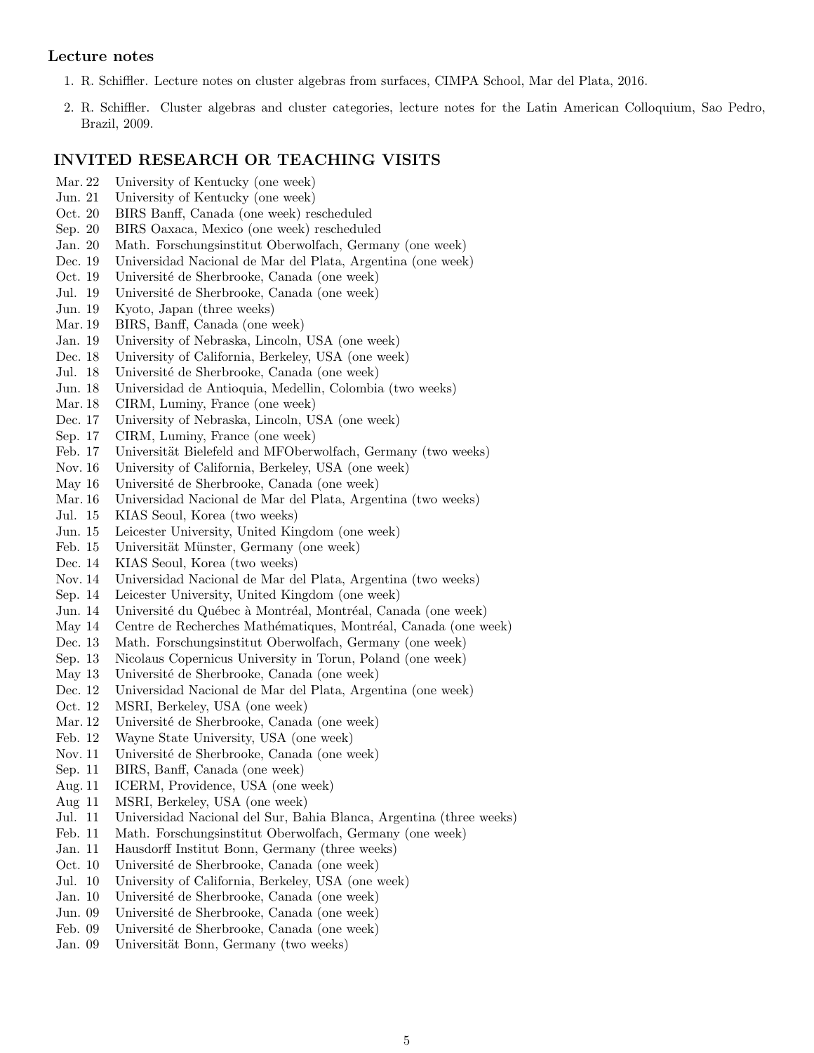#### Lecture notes

- 1. R. Schiffler. Lecture notes on cluster algebras from surfaces, CIMPA School, Mar del Plata, 2016.
- 2. R. Schiffler. Cluster algebras and cluster categories, lecture notes for the Latin American Colloquium, Sao Pedro, Brazil, 2009.

#### INVITED RESEARCH OR TEACHING VISITS

- Mar. 22 University of Kentucky (one week)
- Jun. 21 University of Kentucky (one week)
- Oct. 20 BIRS Banff, Canada (one week) rescheduled
- Sep. 20 BIRS Oaxaca, Mexico (one week) rescheduled
- Jan. 20 Math. Forschungsinstitut Oberwolfach, Germany (one week)
- Dec. 19 Universidad Nacional de Mar del Plata, Argentina (one week)
- Oct. 19 Université de Sherbrooke, Canada (one week)
- Jul. 19 Université de Sherbrooke, Canada (one week)
- Jun. 19 Kyoto, Japan (three weeks)
- Mar. 19 BIRS, Banff, Canada (one week)
- Jan. 19 University of Nebraska, Lincoln, USA (one week)
- Dec. 18 University of California, Berkeley, USA (one week)
- Jul. 18 Université de Sherbrooke, Canada (one week)
- Jun. 18 Universidad de Antioquia, Medellin, Colombia (two weeks)
- Mar. 18 CIRM, Luminy, France (one week)
- Dec. 17 University of Nebraska, Lincoln, USA (one week)
- Sep. 17 CIRM, Luminy, France (one week)
- Feb. 17 Universität Bielefeld and MFOberwolfach, Germany (two weeks)
- Nov. 16 University of California, Berkeley, USA (one week)
- May 16 Université de Sherbrooke, Canada (one week)
- Mar. 16 Universidad Nacional de Mar del Plata, Argentina (two weeks)
- Jul. 15 KIAS Seoul, Korea (two weeks)
- Jun. 15 Leicester University, United Kingdom (one week)
- Feb. 15 Universität Münster, Germany (one week)
- Dec. 14 KIAS Seoul, Korea (two weeks)
- Nov. 14 Universidad Nacional de Mar del Plata, Argentina (two weeks)
- Sep. 14 Leicester University, United Kingdom (one week)
- Jun. 14 Université du Québec à Montréal, Montréal, Canada (one week)
- May 14 Centre de Recherches Mathématiques, Montréal, Canada (one week)
- Dec. 13 Math. Forschungsinstitut Oberwolfach, Germany (one week)
- Sep. 13 Nicolaus Copernicus University in Torun, Poland (one week)
- May 13 Université de Sherbrooke, Canada (one week)
- Dec. 12 Universidad Nacional de Mar del Plata, Argentina (one week)
- Oct. 12 MSRI, Berkeley, USA (one week)
- Mar. 12 Université de Sherbrooke, Canada (one week)
- Feb. 12 Wayne State University, USA (one week)
- Nov. 11 Université de Sherbrooke, Canada (one week)
- Sep. 11 BIRS, Banff, Canada (one week)
- Aug. 11 ICERM, Providence, USA (one week)
- Aug 11 MSRI, Berkeley, USA (one week)
- Jul. 11 Universidad Nacional del Sur, Bahia Blanca, Argentina (three weeks)
- Feb. 11 Math. Forschungsinstitut Oberwolfach, Germany (one week)
- Jan. 11 Hausdorff Institut Bonn, Germany (three weeks)
- Oct. 10 Université de Sherbrooke, Canada (one week)
- Jul. 10 University of California, Berkeley, USA (one week)
- Jan. 10 Université de Sherbrooke, Canada (one week)
- Jun. 09 Université de Sherbrooke, Canada (one week)
- Feb. 09 Université de Sherbrooke, Canada (one week)
- Jan. 09 Universität Bonn, Germany (two weeks)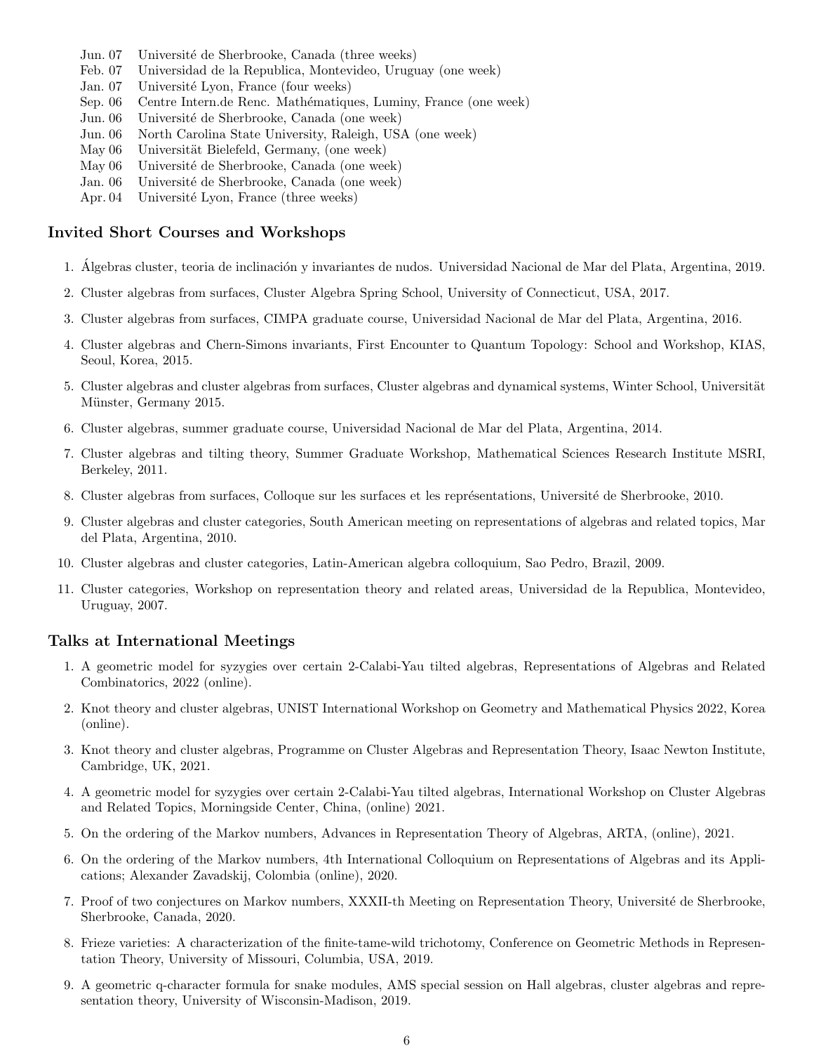- Jun. 07 Université de Sherbrooke, Canada (three weeks)
- Feb. 07 Universidad de la Republica, Montevideo, Uruguay (one week)
- Jan. 07 Université Lyon, France (four weeks)
- Sep. 06 Centre Intern.de Renc. Mathématiques, Luminy, France (one week)
- Jun. 06 Université de Sherbrooke, Canada (one week)
- Jun. 06 North Carolina State University, Raleigh, USA (one week)
- May 06 Universität Bielefeld, Germany, (one week)
- May 06 Université de Sherbrooke, Canada (one week)
- Jan. 06 Université de Sherbrooke, Canada (one week)
- Apr. 04 Université Lyon, France (three weeks)

#### Invited Short Courses and Workshops

- 1. Álgebras cluster, teoria de inclinación y invariantes de nudos. Universidad Nacional de Mar del Plata, Argentina, 2019.
- 2. Cluster algebras from surfaces, Cluster Algebra Spring School, University of Connecticut, USA, 2017.
- 3. Cluster algebras from surfaces, CIMPA graduate course, Universidad Nacional de Mar del Plata, Argentina, 2016.
- 4. Cluster algebras and Chern-Simons invariants, First Encounter to Quantum Topology: School and Workshop, KIAS, Seoul, Korea, 2015.
- 5. Cluster algebras and cluster algebras from surfaces, Cluster algebras and dynamical systems, Winter School, Universität Münster, Germany 2015.
- 6. Cluster algebras, summer graduate course, Universidad Nacional de Mar del Plata, Argentina, 2014.
- 7. Cluster algebras and tilting theory, Summer Graduate Workshop, Mathematical Sciences Research Institute MSRI, Berkeley, 2011.
- 8. Cluster algebras from surfaces, Colloque sur les surfaces et les représentations, Université de Sherbrooke, 2010.
- 9. Cluster algebras and cluster categories, South American meeting on representations of algebras and related topics, Mar del Plata, Argentina, 2010.
- 10. Cluster algebras and cluster categories, Latin-American algebra colloquium, Sao Pedro, Brazil, 2009.
- 11. Cluster categories, Workshop on representation theory and related areas, Universidad de la Republica, Montevideo, Uruguay, 2007.

#### Talks at International Meetings

- 1. A geometric model for syzygies over certain 2-Calabi-Yau tilted algebras, Representations of Algebras and Related Combinatorics, 2022 (online).
- 2. Knot theory and cluster algebras, UNIST International Workshop on Geometry and Mathematical Physics 2022, Korea (online).
- 3. Knot theory and cluster algebras, Programme on Cluster Algebras and Representation Theory, Isaac Newton Institute, Cambridge, UK, 2021.
- 4. A geometric model for syzygies over certain 2-Calabi-Yau tilted algebras, International Workshop on Cluster Algebras and Related Topics, Morningside Center, China, (online) 2021.
- 5. On the ordering of the Markov numbers, Advances in Representation Theory of Algebras, ARTA, (online), 2021.
- 6. On the ordering of the Markov numbers, 4th International Colloquium on Representations of Algebras and its Applications; Alexander Zavadskij, Colombia (online), 2020.
- 7. Proof of two conjectures on Markov numbers, XXXII-th Meeting on Representation Theory, Universit´e de Sherbrooke, Sherbrooke, Canada, 2020.
- 8. Frieze varieties: A characterization of the finite-tame-wild trichotomy, Conference on Geometric Methods in Representation Theory, University of Missouri, Columbia, USA, 2019.
- 9. A geometric q-character formula for snake modules, AMS special session on Hall algebras, cluster algebras and representation theory, University of Wisconsin-Madison, 2019.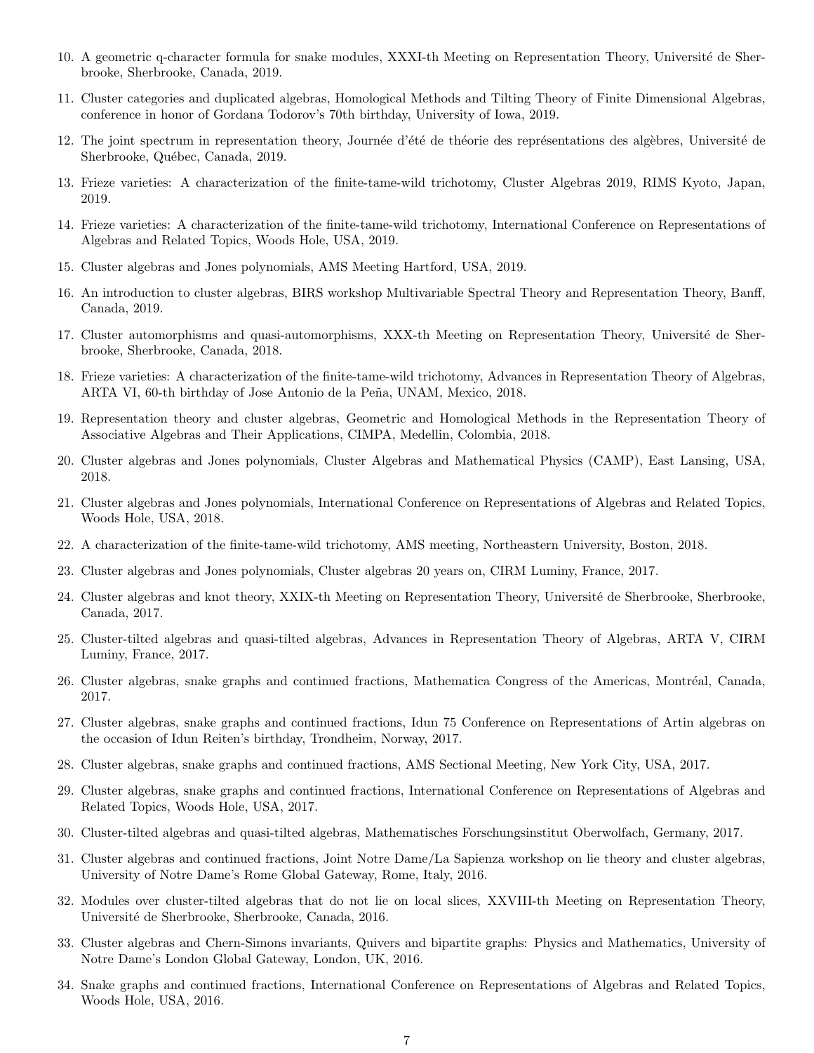- 10. A geometric q-character formula for snake modules, XXXI-th Meeting on Representation Theory, Université de Sherbrooke, Sherbrooke, Canada, 2019.
- 11. Cluster categories and duplicated algebras, Homological Methods and Tilting Theory of Finite Dimensional Algebras, conference in honor of Gordana Todorov's 70th birthday, University of Iowa, 2019.
- 12. The joint spectrum in representation theory, Journée d'été de théorie des représentations des algèbres, Université de Sherbrooke, Québec, Canada, 2019.
- 13. Frieze varieties: A characterization of the finite-tame-wild trichotomy, Cluster Algebras 2019, RIMS Kyoto, Japan, 2019.
- 14. Frieze varieties: A characterization of the finite-tame-wild trichotomy, International Conference on Representations of Algebras and Related Topics, Woods Hole, USA, 2019.
- 15. Cluster algebras and Jones polynomials, AMS Meeting Hartford, USA, 2019.
- 16. An introduction to cluster algebras, BIRS workshop Multivariable Spectral Theory and Representation Theory, Banff, Canada, 2019.
- 17. Cluster automorphisms and quasi-automorphisms, XXX-th Meeting on Representation Theory, Université de Sherbrooke, Sherbrooke, Canada, 2018.
- 18. Frieze varieties: A characterization of the finite-tame-wild trichotomy, Advances in Representation Theory of Algebras, ARTA VI, 60-th birthday of Jose Antonio de la Peña, UNAM, Mexico, 2018.
- 19. Representation theory and cluster algebras, Geometric and Homological Methods in the Representation Theory of Associative Algebras and Their Applications, CIMPA, Medellin, Colombia, 2018.
- 20. Cluster algebras and Jones polynomials, Cluster Algebras and Mathematical Physics (CAMP), East Lansing, USA, 2018.
- 21. Cluster algebras and Jones polynomials, International Conference on Representations of Algebras and Related Topics, Woods Hole, USA, 2018.
- 22. A characterization of the finite-tame-wild trichotomy, AMS meeting, Northeastern University, Boston, 2018.
- 23. Cluster algebras and Jones polynomials, Cluster algebras 20 years on, CIRM Luminy, France, 2017.
- 24. Cluster algebras and knot theory, XXIX-th Meeting on Representation Theory, Université de Sherbrooke, Sherbrooke, Canada, 2017.
- 25. Cluster-tilted algebras and quasi-tilted algebras, Advances in Representation Theory of Algebras, ARTA V, CIRM Luminy, France, 2017.
- 26. Cluster algebras, snake graphs and continued fractions, Mathematica Congress of the Americas, Montréal, Canada, 2017.
- 27. Cluster algebras, snake graphs and continued fractions, Idun 75 Conference on Representations of Artin algebras on the occasion of Idun Reiten's birthday, Trondheim, Norway, 2017.
- 28. Cluster algebras, snake graphs and continued fractions, AMS Sectional Meeting, New York City, USA, 2017.
- 29. Cluster algebras, snake graphs and continued fractions, International Conference on Representations of Algebras and Related Topics, Woods Hole, USA, 2017.
- 30. Cluster-tilted algebras and quasi-tilted algebras, Mathematisches Forschungsinstitut Oberwolfach, Germany, 2017.
- 31. Cluster algebras and continued fractions, Joint Notre Dame/La Sapienza workshop on lie theory and cluster algebras, University of Notre Dame's Rome Global Gateway, Rome, Italy, 2016.
- 32. Modules over cluster-tilted algebras that do not lie on local slices, XXVIII-th Meeting on Representation Theory, Universit´e de Sherbrooke, Sherbrooke, Canada, 2016.
- 33. Cluster algebras and Chern-Simons invariants, Quivers and bipartite graphs: Physics and Mathematics, University of Notre Dame's London Global Gateway, London, UK, 2016.
- 34. Snake graphs and continued fractions, International Conference on Representations of Algebras and Related Topics, Woods Hole, USA, 2016.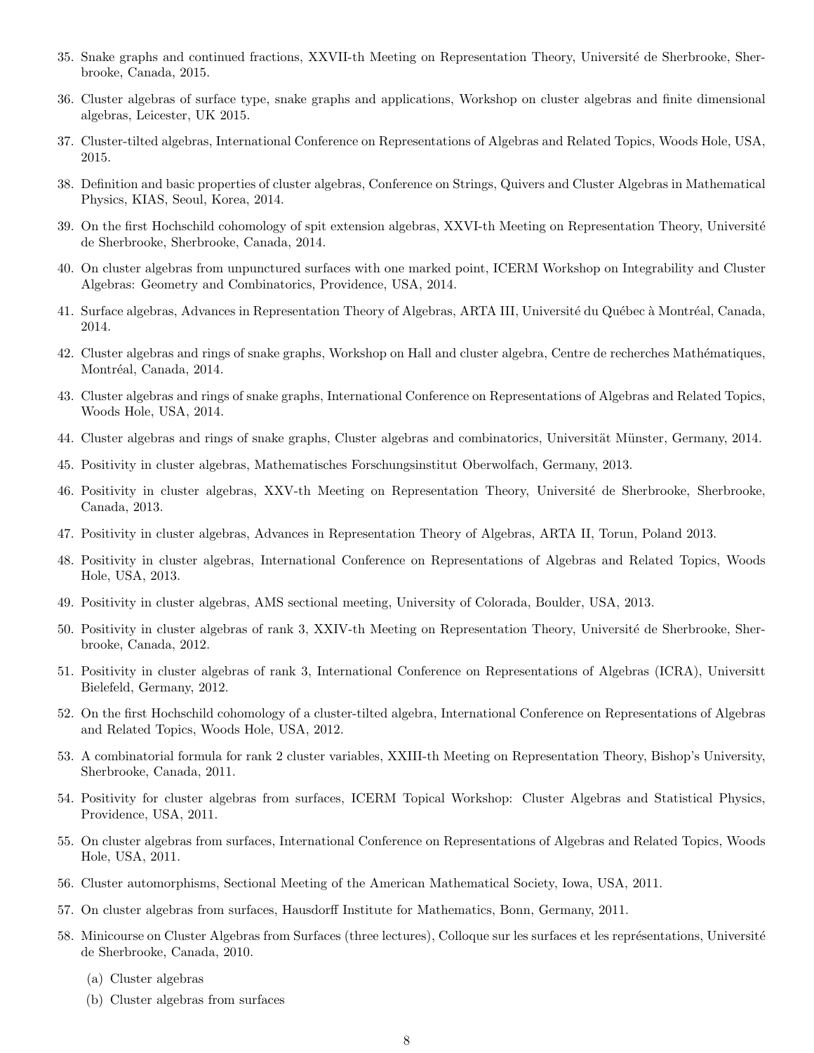- 35. Snake graphs and continued fractions, XXVII-th Meeting on Representation Theory, Université de Sherbrooke, Sherbrooke, Canada, 2015.
- 36. Cluster algebras of surface type, snake graphs and applications, Workshop on cluster algebras and finite dimensional algebras, Leicester, UK 2015.
- 37. Cluster-tilted algebras, International Conference on Representations of Algebras and Related Topics, Woods Hole, USA, 2015.
- 38. Definition and basic properties of cluster algebras, Conference on Strings, Quivers and Cluster Algebras in Mathematical Physics, KIAS, Seoul, Korea, 2014.
- 39. On the first Hochschild cohomology of spit extension algebras, XXVI-th Meeting on Representation Theory, Université de Sherbrooke, Sherbrooke, Canada, 2014.
- 40. On cluster algebras from unpunctured surfaces with one marked point, ICERM Workshop on Integrability and Cluster Algebras: Geometry and Combinatorics, Providence, USA, 2014.
- 41. Surface algebras, Advances in Representation Theory of Algebras, ARTA III, Université du Québec à Montréal, Canada, 2014.
- 42. Cluster algebras and rings of snake graphs, Workshop on Hall and cluster algebra, Centre de recherches Mathématiques, Montréal, Canada, 2014.
- 43. Cluster algebras and rings of snake graphs, International Conference on Representations of Algebras and Related Topics, Woods Hole, USA, 2014.
- 44. Cluster algebras and rings of snake graphs, Cluster algebras and combinatorics, Universität Münster, Germany, 2014.
- 45. Positivity in cluster algebras, Mathematisches Forschungsinstitut Oberwolfach, Germany, 2013.
- 46. Positivity in cluster algebras, XXV-th Meeting on Representation Theory, Université de Sherbrooke, Sherbrooke, Canada, 2013.
- 47. Positivity in cluster algebras, Advances in Representation Theory of Algebras, ARTA II, Torun, Poland 2013.
- 48. Positivity in cluster algebras, International Conference on Representations of Algebras and Related Topics, Woods Hole, USA, 2013.
- 49. Positivity in cluster algebras, AMS sectional meeting, University of Colorada, Boulder, USA, 2013.
- 50. Positivity in cluster algebras of rank 3, XXIV-th Meeting on Representation Theory, Université de Sherbrooke, Sherbrooke, Canada, 2012.
- 51. Positivity in cluster algebras of rank 3, International Conference on Representations of Algebras (ICRA), Universitt Bielefeld, Germany, 2012.
- 52. On the first Hochschild cohomology of a cluster-tilted algebra, International Conference on Representations of Algebras and Related Topics, Woods Hole, USA, 2012.
- 53. A combinatorial formula for rank 2 cluster variables, XXIII-th Meeting on Representation Theory, Bishop's University, Sherbrooke, Canada, 2011.
- 54. Positivity for cluster algebras from surfaces, ICERM Topical Workshop: Cluster Algebras and Statistical Physics, Providence, USA, 2011.
- 55. On cluster algebras from surfaces, International Conference on Representations of Algebras and Related Topics, Woods Hole, USA, 2011.
- 56. Cluster automorphisms, Sectional Meeting of the American Mathematical Society, Iowa, USA, 2011.
- 57. On cluster algebras from surfaces, Hausdorff Institute for Mathematics, Bonn, Germany, 2011.
- 58. Minicourse on Cluster Algebras from Surfaces (three lectures), Colloque sur les surfaces et les représentations, Université de Sherbrooke, Canada, 2010.
	- (a) Cluster algebras
	- (b) Cluster algebras from surfaces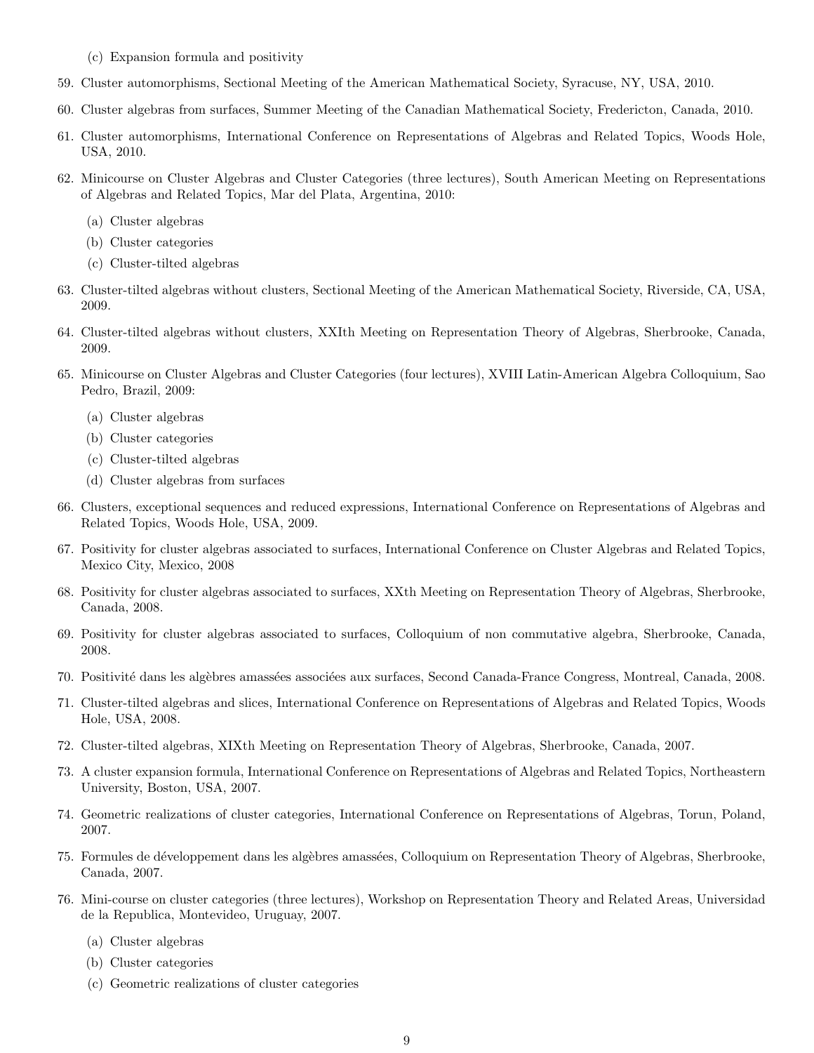- (c) Expansion formula and positivity
- 59. Cluster automorphisms, Sectional Meeting of the American Mathematical Society, Syracuse, NY, USA, 2010.
- 60. Cluster algebras from surfaces, Summer Meeting of the Canadian Mathematical Society, Fredericton, Canada, 2010.
- 61. Cluster automorphisms, International Conference on Representations of Algebras and Related Topics, Woods Hole, USA, 2010.
- 62. Minicourse on Cluster Algebras and Cluster Categories (three lectures), South American Meeting on Representations of Algebras and Related Topics, Mar del Plata, Argentina, 2010:
	- (a) Cluster algebras
	- (b) Cluster categories
	- (c) Cluster-tilted algebras
- 63. Cluster-tilted algebras without clusters, Sectional Meeting of the American Mathematical Society, Riverside, CA, USA, 2009.
- 64. Cluster-tilted algebras without clusters, XXIth Meeting on Representation Theory of Algebras, Sherbrooke, Canada, 2009.
- 65. Minicourse on Cluster Algebras and Cluster Categories (four lectures), XVIII Latin-American Algebra Colloquium, Sao Pedro, Brazil, 2009:
	- (a) Cluster algebras
	- (b) Cluster categories
	- (c) Cluster-tilted algebras
	- (d) Cluster algebras from surfaces
- 66. Clusters, exceptional sequences and reduced expressions, International Conference on Representations of Algebras and Related Topics, Woods Hole, USA, 2009.
- 67. Positivity for cluster algebras associated to surfaces, International Conference on Cluster Algebras and Related Topics, Mexico City, Mexico, 2008
- 68. Positivity for cluster algebras associated to surfaces, XXth Meeting on Representation Theory of Algebras, Sherbrooke, Canada, 2008.
- 69. Positivity for cluster algebras associated to surfaces, Colloquium of non commutative algebra, Sherbrooke, Canada, 2008.
- 70. Positivit´e dans les alg`ebres amass´ees associ´ees aux surfaces, Second Canada-France Congress, Montreal, Canada, 2008.
- 71. Cluster-tilted algebras and slices, International Conference on Representations of Algebras and Related Topics, Woods Hole, USA, 2008.
- 72. Cluster-tilted algebras, XIXth Meeting on Representation Theory of Algebras, Sherbrooke, Canada, 2007.
- 73. A cluster expansion formula, International Conference on Representations of Algebras and Related Topics, Northeastern University, Boston, USA, 2007.
- 74. Geometric realizations of cluster categories, International Conference on Representations of Algebras, Torun, Poland, 2007.
- 75. Formules de développement dans les algèbres amassées, Colloquium on Representation Theory of Algebras, Sherbrooke, Canada, 2007.
- 76. Mini-course on cluster categories (three lectures), Workshop on Representation Theory and Related Areas, Universidad de la Republica, Montevideo, Uruguay, 2007.
	- (a) Cluster algebras
	- (b) Cluster categories
	- (c) Geometric realizations of cluster categories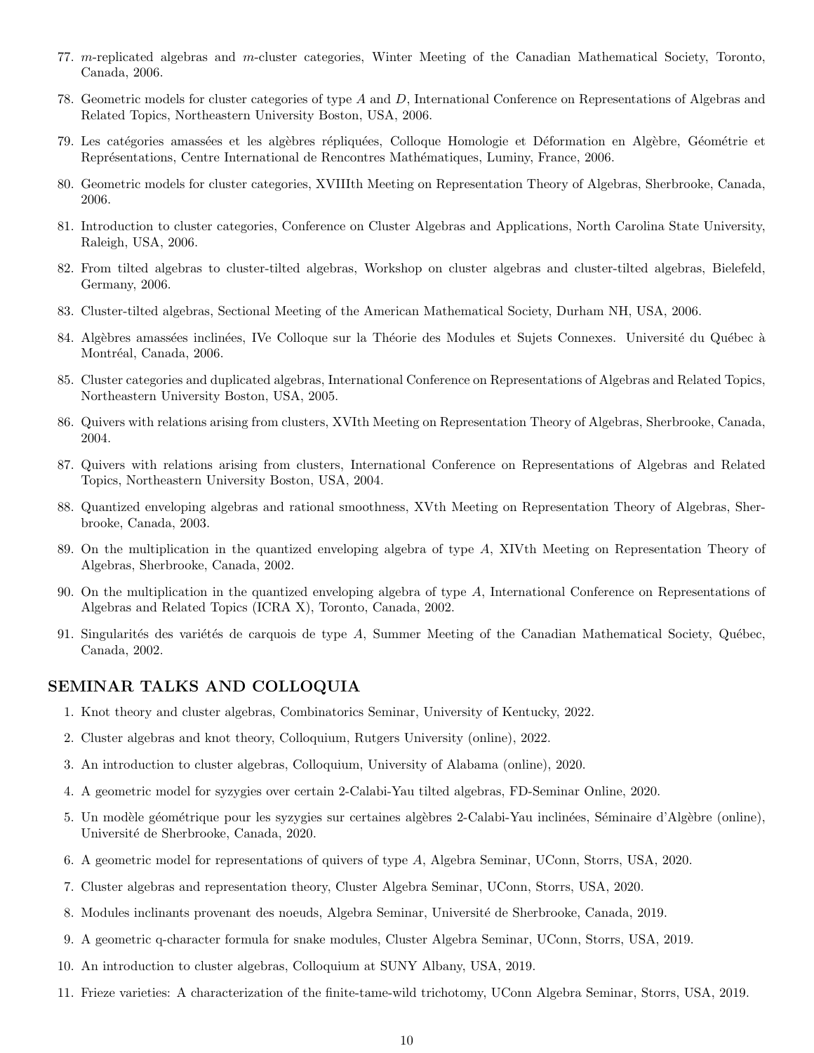- 77. m-replicated algebras and m-cluster categories, Winter Meeting of the Canadian Mathematical Society, Toronto, Canada, 2006.
- 78. Geometric models for cluster categories of type A and D, International Conference on Representations of Algebras and Related Topics, Northeastern University Boston, USA, 2006.
- 79. Les catégories amassées et les algèbres répliquées, Colloque Homologie et Déformation en Algèbre, Géométrie et Représentations, Centre International de Rencontres Mathématiques, Luminy, France, 2006.
- 80. Geometric models for cluster categories, XVIIIth Meeting on Representation Theory of Algebras, Sherbrooke, Canada, 2006.
- 81. Introduction to cluster categories, Conference on Cluster Algebras and Applications, North Carolina State University, Raleigh, USA, 2006.
- 82. From tilted algebras to cluster-tilted algebras, Workshop on cluster algebras and cluster-tilted algebras, Bielefeld, Germany, 2006.
- 83. Cluster-tilted algebras, Sectional Meeting of the American Mathematical Society, Durham NH, USA, 2006.
- 84. Algèbres amassées inclinées, IVe Colloque sur la Théorie des Modules et Sujets Connexes. Université du Québec à Montréal, Canada, 2006.
- 85. Cluster categories and duplicated algebras, International Conference on Representations of Algebras and Related Topics, Northeastern University Boston, USA, 2005.
- 86. Quivers with relations arising from clusters, XVIth Meeting on Representation Theory of Algebras, Sherbrooke, Canada, 2004.
- 87. Quivers with relations arising from clusters, International Conference on Representations of Algebras and Related Topics, Northeastern University Boston, USA, 2004.
- 88. Quantized enveloping algebras and rational smoothness, XVth Meeting on Representation Theory of Algebras, Sherbrooke, Canada, 2003.
- 89. On the multiplication in the quantized enveloping algebra of type A, XIVth Meeting on Representation Theory of Algebras, Sherbrooke, Canada, 2002.
- 90. On the multiplication in the quantized enveloping algebra of type A, International Conference on Representations of Algebras and Related Topics (ICRA X), Toronto, Canada, 2002.
- 91. Singularités des variétés de carquois de type  $A$ , Summer Meeting of the Canadian Mathematical Society, Québec, Canada, 2002.

#### SEMINAR TALKS AND COLLOQUIA

- 1. Knot theory and cluster algebras, Combinatorics Seminar, University of Kentucky, 2022.
- 2. Cluster algebras and knot theory, Colloquium, Rutgers University (online), 2022.
- 3. An introduction to cluster algebras, Colloquium, University of Alabama (online), 2020.
- 4. A geometric model for syzygies over certain 2-Calabi-Yau tilted algebras, FD-Seminar Online, 2020.
- 5. Un modèle géométrique pour les syzygies sur certaines algèbres 2-Calabi-Yau inclinées, Séminaire d'Algèbre (online), Universit´e de Sherbrooke, Canada, 2020.
- 6. A geometric model for representations of quivers of type A, Algebra Seminar, UConn, Storrs, USA, 2020.
- 7. Cluster algebras and representation theory, Cluster Algebra Seminar, UConn, Storrs, USA, 2020.
- 8. Modules inclinants provenant des noeuds, Algebra Seminar, Université de Sherbrooke, Canada, 2019.
- 9. A geometric q-character formula for snake modules, Cluster Algebra Seminar, UConn, Storrs, USA, 2019.
- 10. An introduction to cluster algebras, Colloquium at SUNY Albany, USA, 2019.
- 11. Frieze varieties: A characterization of the finite-tame-wild trichotomy, UConn Algebra Seminar, Storrs, USA, 2019.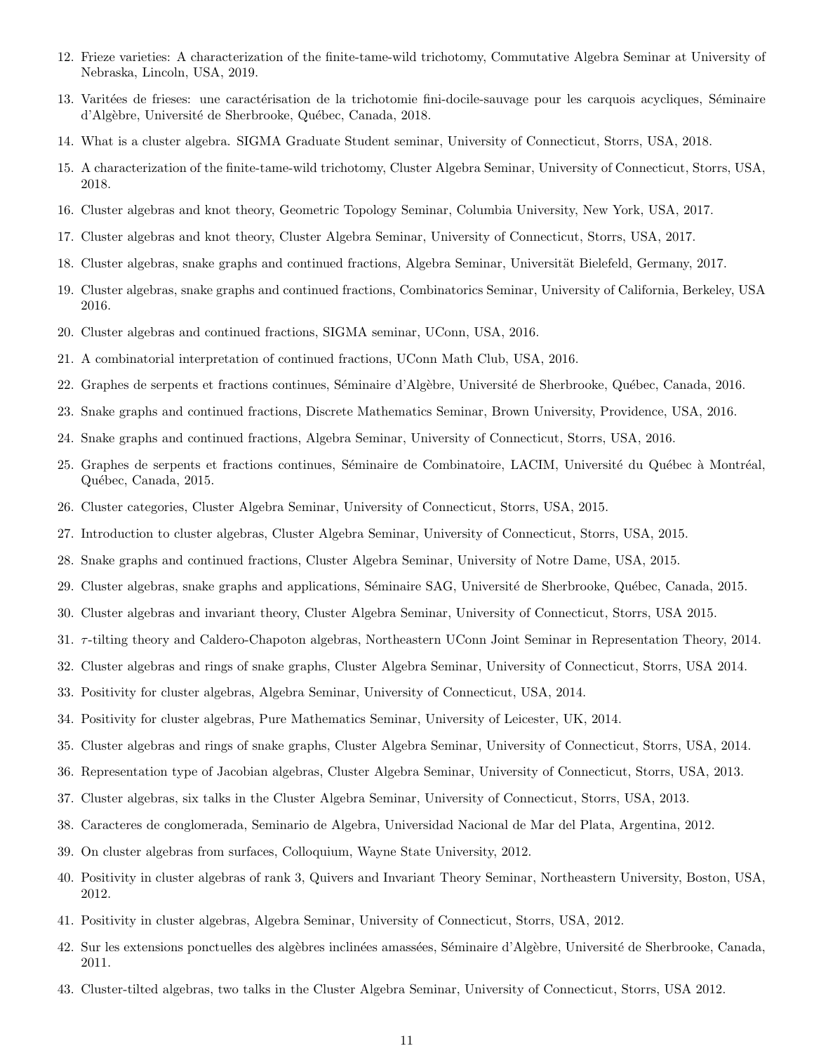- 12. Frieze varieties: A characterization of the finite-tame-wild trichotomy, Commutative Algebra Seminar at University of Nebraska, Lincoln, USA, 2019.
- 13. Varitées de frieses: une caractérisation de la trichotomie fini-docile-sauvage pour les carquois acycliques, Séminaire d'Algèbre, Université de Sherbrooke, Québec, Canada, 2018.
- 14. What is a cluster algebra. SIGMA Graduate Student seminar, University of Connecticut, Storrs, USA, 2018.
- 15. A characterization of the finite-tame-wild trichotomy, Cluster Algebra Seminar, University of Connecticut, Storrs, USA, 2018.
- 16. Cluster algebras and knot theory, Geometric Topology Seminar, Columbia University, New York, USA, 2017.
- 17. Cluster algebras and knot theory, Cluster Algebra Seminar, University of Connecticut, Storrs, USA, 2017.
- 18. Cluster algebras, snake graphs and continued fractions, Algebra Seminar, Universität Bielefeld, Germany, 2017.
- 19. Cluster algebras, snake graphs and continued fractions, Combinatorics Seminar, University of California, Berkeley, USA 2016.
- 20. Cluster algebras and continued fractions, SIGMA seminar, UConn, USA, 2016.
- 21. A combinatorial interpretation of continued fractions, UConn Math Club, USA, 2016.
- 22. Graphes de serpents et fractions continues, Séminaire d'Algèbre, Université de Sherbrooke, Québec, Canada, 2016.
- 23. Snake graphs and continued fractions, Discrete Mathematics Seminar, Brown University, Providence, USA, 2016.
- 24. Snake graphs and continued fractions, Algebra Seminar, University of Connecticut, Storrs, USA, 2016.
- 25. Graphes de serpents et fractions continues, Séminaire de Combinatoire, LACIM, Université du Québec à Montréal, Québec, Canada, 2015.
- 26. Cluster categories, Cluster Algebra Seminar, University of Connecticut, Storrs, USA, 2015.
- 27. Introduction to cluster algebras, Cluster Algebra Seminar, University of Connecticut, Storrs, USA, 2015.
- 28. Snake graphs and continued fractions, Cluster Algebra Seminar, University of Notre Dame, USA, 2015.
- 29. Cluster algebras, snake graphs and applications, Séminaire SAG, Université de Sherbrooke, Québec, Canada, 2015.
- 30. Cluster algebras and invariant theory, Cluster Algebra Seminar, University of Connecticut, Storrs, USA 2015.
- 31. τ -tilting theory and Caldero-Chapoton algebras, Northeastern UConn Joint Seminar in Representation Theory, 2014.
- 32. Cluster algebras and rings of snake graphs, Cluster Algebra Seminar, University of Connecticut, Storrs, USA 2014.
- 33. Positivity for cluster algebras, Algebra Seminar, University of Connecticut, USA, 2014.
- 34. Positivity for cluster algebras, Pure Mathematics Seminar, University of Leicester, UK, 2014.
- 35. Cluster algebras and rings of snake graphs, Cluster Algebra Seminar, University of Connecticut, Storrs, USA, 2014.
- 36. Representation type of Jacobian algebras, Cluster Algebra Seminar, University of Connecticut, Storrs, USA, 2013.
- 37. Cluster algebras, six talks in the Cluster Algebra Seminar, University of Connecticut, Storrs, USA, 2013.
- 38. Caracteres de conglomerada, Seminario de Algebra, Universidad Nacional de Mar del Plata, Argentina, 2012.
- 39. On cluster algebras from surfaces, Colloquium, Wayne State University, 2012.
- 40. Positivity in cluster algebras of rank 3, Quivers and Invariant Theory Seminar, Northeastern University, Boston, USA, 2012.
- 41. Positivity in cluster algebras, Algebra Seminar, University of Connecticut, Storrs, USA, 2012.
- 42. Sur les extensions ponctuelles des algèbres inclinées amassées, Séminaire d'Algèbre, Université de Sherbrooke, Canada, 2011.
- 43. Cluster-tilted algebras, two talks in the Cluster Algebra Seminar, University of Connecticut, Storrs, USA 2012.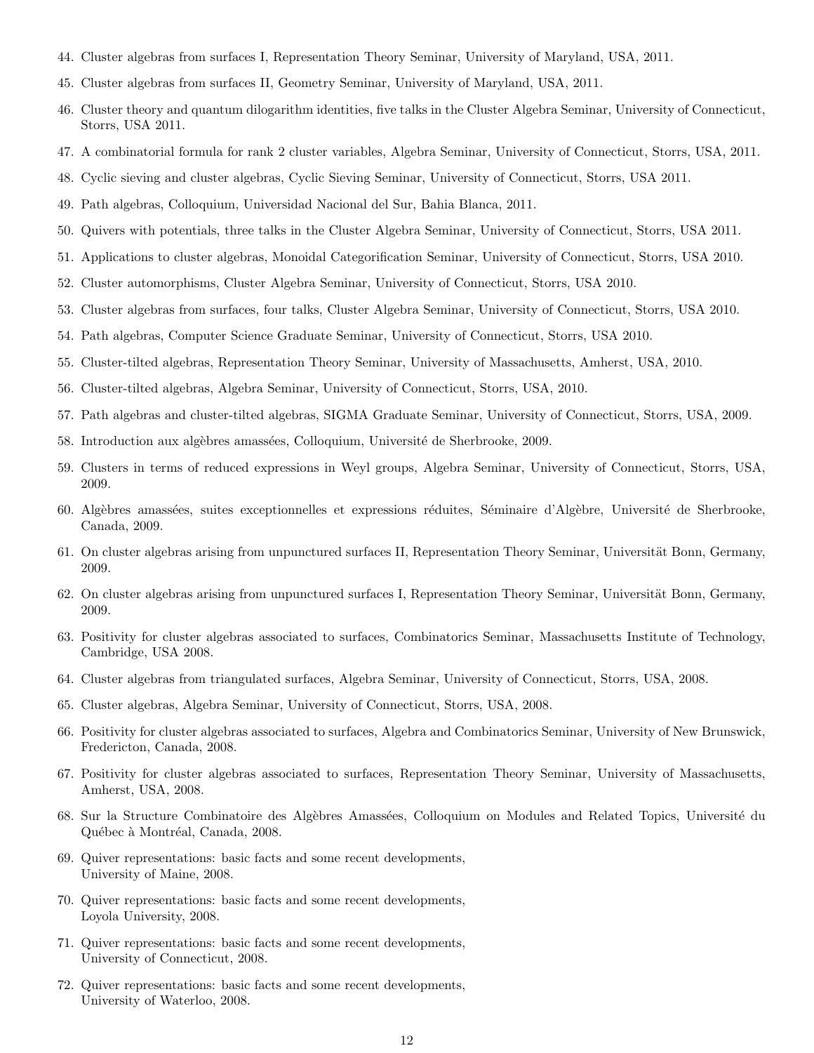- 44. Cluster algebras from surfaces I, Representation Theory Seminar, University of Maryland, USA, 2011.
- 45. Cluster algebras from surfaces II, Geometry Seminar, University of Maryland, USA, 2011.
- 46. Cluster theory and quantum dilogarithm identities, five talks in the Cluster Algebra Seminar, University of Connecticut, Storrs, USA 2011.
- 47. A combinatorial formula for rank 2 cluster variables, Algebra Seminar, University of Connecticut, Storrs, USA, 2011.
- 48. Cyclic sieving and cluster algebras, Cyclic Sieving Seminar, University of Connecticut, Storrs, USA 2011.
- 49. Path algebras, Colloquium, Universidad Nacional del Sur, Bahia Blanca, 2011.
- 50. Quivers with potentials, three talks in the Cluster Algebra Seminar, University of Connecticut, Storrs, USA 2011.
- 51. Applications to cluster algebras, Monoidal Categorification Seminar, University of Connecticut, Storrs, USA 2010.
- 52. Cluster automorphisms, Cluster Algebra Seminar, University of Connecticut, Storrs, USA 2010.
- 53. Cluster algebras from surfaces, four talks, Cluster Algebra Seminar, University of Connecticut, Storrs, USA 2010.
- 54. Path algebras, Computer Science Graduate Seminar, University of Connecticut, Storrs, USA 2010.
- 55. Cluster-tilted algebras, Representation Theory Seminar, University of Massachusetts, Amherst, USA, 2010.
- 56. Cluster-tilted algebras, Algebra Seminar, University of Connecticut, Storrs, USA, 2010.
- 57. Path algebras and cluster-tilted algebras, SIGMA Graduate Seminar, University of Connecticut, Storrs, USA, 2009.
- 58. Introduction aux algèbres amassées, Colloquium, Université de Sherbrooke, 2009.
- 59. Clusters in terms of reduced expressions in Weyl groups, Algebra Seminar, University of Connecticut, Storrs, USA, 2009.
- 60. Algèbres amassées, suites exceptionnelles et expressions réduites, Séminaire d'Algèbre, Université de Sherbrooke, Canada, 2009.
- 61. On cluster algebras arising from unpunctured surfaces II, Representation Theory Seminar, Universität Bonn, Germany, 2009.
- 62. On cluster algebras arising from unpunctured surfaces I, Representation Theory Seminar, Universität Bonn, Germany, 2009.
- 63. Positivity for cluster algebras associated to surfaces, Combinatorics Seminar, Massachusetts Institute of Technology, Cambridge, USA 2008.
- 64. Cluster algebras from triangulated surfaces, Algebra Seminar, University of Connecticut, Storrs, USA, 2008.
- 65. Cluster algebras, Algebra Seminar, University of Connecticut, Storrs, USA, 2008.
- 66. Positivity for cluster algebras associated to surfaces, Algebra and Combinatorics Seminar, University of New Brunswick, Fredericton, Canada, 2008.
- 67. Positivity for cluster algebras associated to surfaces, Representation Theory Seminar, University of Massachusetts, Amherst, USA, 2008.
- 68. Sur la Structure Combinatoire des Algèbres Amassées, Colloquium on Modules and Related Topics, Université du Québec à Montréal, Canada, 2008.
- 69. Quiver representations: basic facts and some recent developments, University of Maine, 2008.
- 70. Quiver representations: basic facts and some recent developments, Loyola University, 2008.
- 71. Quiver representations: basic facts and some recent developments, University of Connecticut, 2008.
- 72. Quiver representations: basic facts and some recent developments, University of Waterloo, 2008.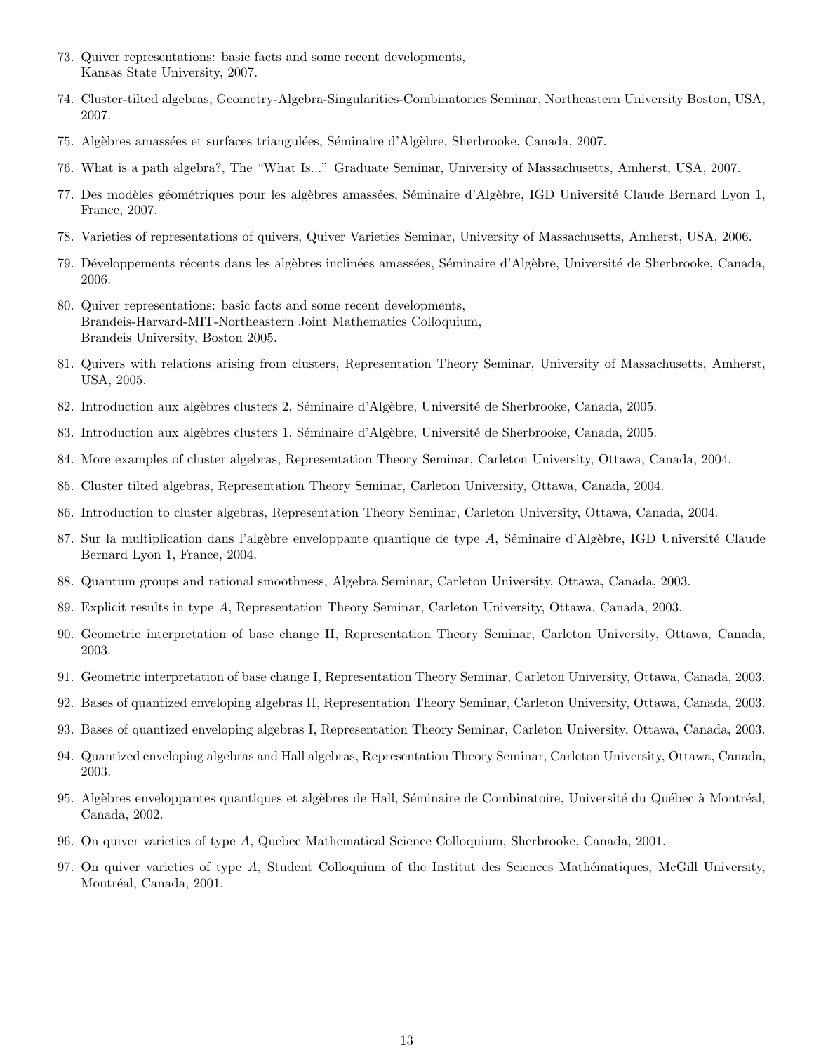- 73. Quiver representations: basic facts and some recent developments, Kansas State University, 2007.
- 74. Cluster-tilted algebras, Geometry-Algebra-Singularities-Combinatorics Seminar, Northeastern University Boston, USA, 2007.
- 75. Algèbres amassées et surfaces triangulées, Séminaire d'Algèbre, Sherbrooke, Canada, 2007.
- 76. What is a path algebra?, The "What Is..." Graduate Seminar, University of Massachusetts, Amherst, USA, 2007.
- 77. Des modèles géométriques pour les algèbres amassées, Séminaire d'Algèbre, IGD Université Claude Bernard Lyon 1, France, 2007.
- 78. Varieties of representations of quivers, Quiver Varieties Seminar, University of Massachusetts, Amherst, USA, 2006.
- 79. Développements récents dans les algèbres inclinées amassées, Séminaire d'Algèbre, Université de Sherbrooke, Canada, 2006.
- 80. Quiver representations: basic facts and some recent developments, Brandeis-Harvard-MIT-Northeastern Joint Mathematics Colloquium, Brandeis University, Boston 2005.
- 81. Quivers with relations arising from clusters, Representation Theory Seminar, University of Massachusetts, Amherst, USA, 2005.
- 82. Introduction aux algèbres clusters 2, Séminaire d'Algèbre, Université de Sherbrooke, Canada, 2005.
- 83. Introduction aux algèbres clusters 1, Séminaire d'Algèbre, Université de Sherbrooke, Canada, 2005.
- 84. More examples of cluster algebras, Representation Theory Seminar, Carleton University, Ottawa, Canada, 2004.
- 85. Cluster tilted algebras, Representation Theory Seminar, Carleton University, Ottawa, Canada, 2004.
- 86. Introduction to cluster algebras, Representation Theory Seminar, Carleton University, Ottawa, Canada, 2004.
- 87. Sur la multiplication dans l'algèbre enveloppante quantique de type A, Séminaire d'Algèbre, IGD Université Claude Bernard Lyon 1, France, 2004.
- 88. Quantum groups and rational smoothness, Algebra Seminar, Carleton University, Ottawa, Canada, 2003.
- 89. Explicit results in type A, Representation Theory Seminar, Carleton University, Ottawa, Canada, 2003.
- 90. Geometric interpretation of base change II, Representation Theory Seminar, Carleton University, Ottawa, Canada, 2003.
- 91. Geometric interpretation of base change I, Representation Theory Seminar, Carleton University, Ottawa, Canada, 2003.
- 92. Bases of quantized enveloping algebras II, Representation Theory Seminar, Carleton University, Ottawa, Canada, 2003.
- 93. Bases of quantized enveloping algebras I, Representation Theory Seminar, Carleton University, Ottawa, Canada, 2003.
- 94. Quantized enveloping algebras and Hall algebras, Representation Theory Seminar, Carleton University, Ottawa, Canada, 2003.
- 95. Algèbres enveloppantes quantiques et algèbres de Hall, Séminaire de Combinatoire, Université du Québec à Montréal, Canada, 2002.
- 96. On quiver varieties of type A, Quebec Mathematical Science Colloquium, Sherbrooke, Canada, 2001.
- 97. On quiver varieties of type A, Student Colloquium of the Institut des Sciences Mathématiques, McGill University, Montréal, Canada, 2001.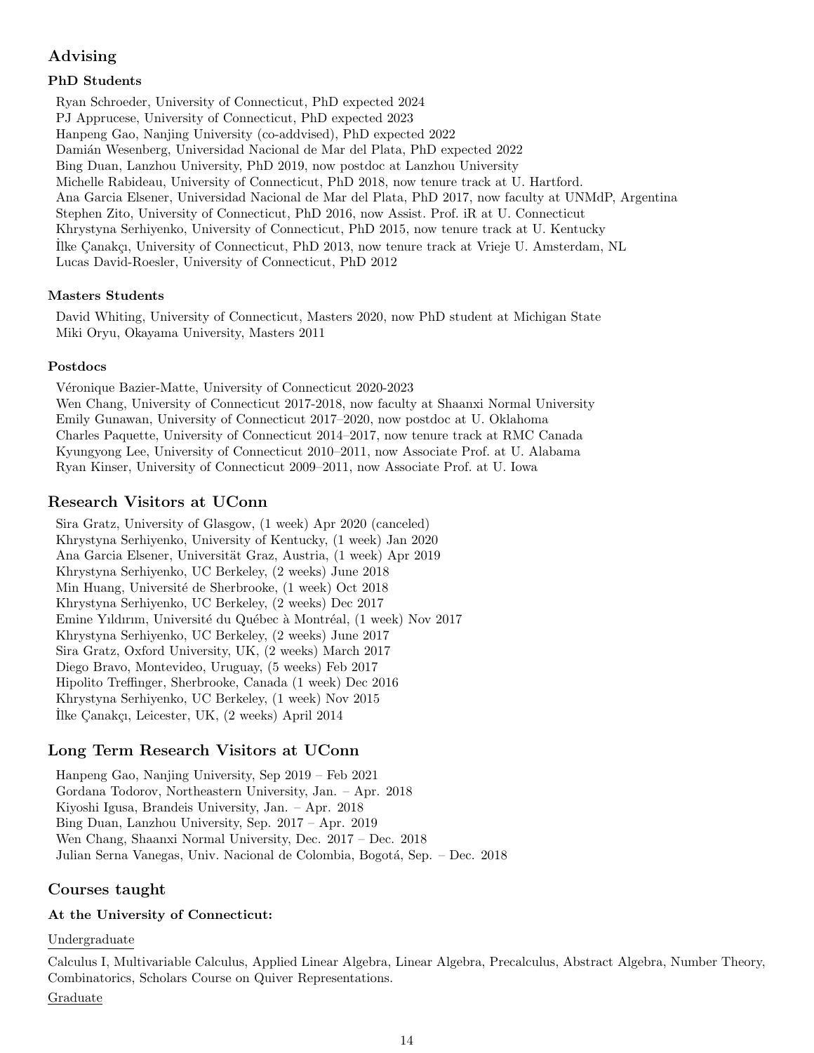# Advising

# PhD Students

Ryan Schroeder, University of Connecticut, PhD expected 2024 PJ Apprucese, University of Connecticut, PhD expected 2023 Hanpeng Gao, Nanjing University (co-addvised), PhD expected 2022 Damián Wesenberg, Universidad Nacional de Mar del Plata, PhD expected 2022 Bing Duan, Lanzhou University, PhD 2019, now postdoc at Lanzhou University Michelle Rabideau, University of Connecticut, PhD 2018, now tenure track at U. Hartford. Ana Garcia Elsener, Universidad Nacional de Mar del Plata, PhD 2017, now faculty at UNMdP, Argentina Stephen Zito, University of Connecticut, PhD 2016, now Assist. Prof. iR at U. Connecticut Khrystyna Serhiyenko, University of Connecticut, PhD 2015, now tenure track at U. Kentucky Ilke Canakcı, University of Connecticut, PhD 2013, now tenure track at Vrieje U. Amsterdam, NL Lucas David-Roesler, University of Connecticut, PhD 2012

## Masters Students

David Whiting, University of Connecticut, Masters 2020, now PhD student at Michigan State Miki Oryu, Okayama University, Masters 2011

## Postdocs

Véronique Bazier-Matte, University of Connecticut 2020-2023 Wen Chang, University of Connecticut 2017-2018, now faculty at Shaanxi Normal University Emily Gunawan, University of Connecticut 2017–2020, now postdoc at U. Oklahoma Charles Paquette, University of Connecticut 2014–2017, now tenure track at RMC Canada Kyungyong Lee, University of Connecticut 2010–2011, now Associate Prof. at U. Alabama Ryan Kinser, University of Connecticut 2009–2011, now Associate Prof. at U. Iowa

# Research Visitors at UConn

Sira Gratz, University of Glasgow, (1 week) Apr 2020 (canceled) Khrystyna Serhiyenko, University of Kentucky, (1 week) Jan 2020 Ana Garcia Elsener, Universität Graz, Austria, (1 week) Apr 2019 Khrystyna Serhiyenko, UC Berkeley, (2 weeks) June 2018 Min Huang, Université de Sherbrooke, (1 week) Oct 2018 Khrystyna Serhiyenko, UC Berkeley, (2 weeks) Dec 2017 Emine Yıldırım, Université du Québec à Montréal, (1 week) Nov 2017 Khrystyna Serhiyenko, UC Berkeley, (2 weeks) June 2017 Sira Gratz, Oxford University, UK, (2 weeks) March 2017 Diego Bravo, Montevideo, Uruguay, (5 weeks) Feb 2017 Hipolito Treffinger, Sherbrooke, Canada (1 week) Dec 2016 Khrystyna Serhiyenko, UC Berkeley, (1 week) Nov 2015 İlke Çanakçı, Leicester, UK, (2 weeks) April 2014

# Long Term Research Visitors at UConn

Hanpeng Gao, Nanjing University, Sep 2019 – Feb 2021 Gordana Todorov, Northeastern University, Jan. – Apr. 2018 Kiyoshi Igusa, Brandeis University, Jan. – Apr. 2018 Bing Duan, Lanzhou University, Sep. 2017 – Apr. 2019 Wen Chang, Shaanxi Normal University, Dec. 2017 – Dec. 2018 Julian Serna Vanegas, Univ. Nacional de Colombia, Bogotá, Sep. – Dec. 2018

# Courses taught

## At the University of Connecticut:

### Undergraduate

Calculus I, Multivariable Calculus, Applied Linear Algebra, Linear Algebra, Precalculus, Abstract Algebra, Number Theory, Combinatorics, Scholars Course on Quiver Representations.

Graduate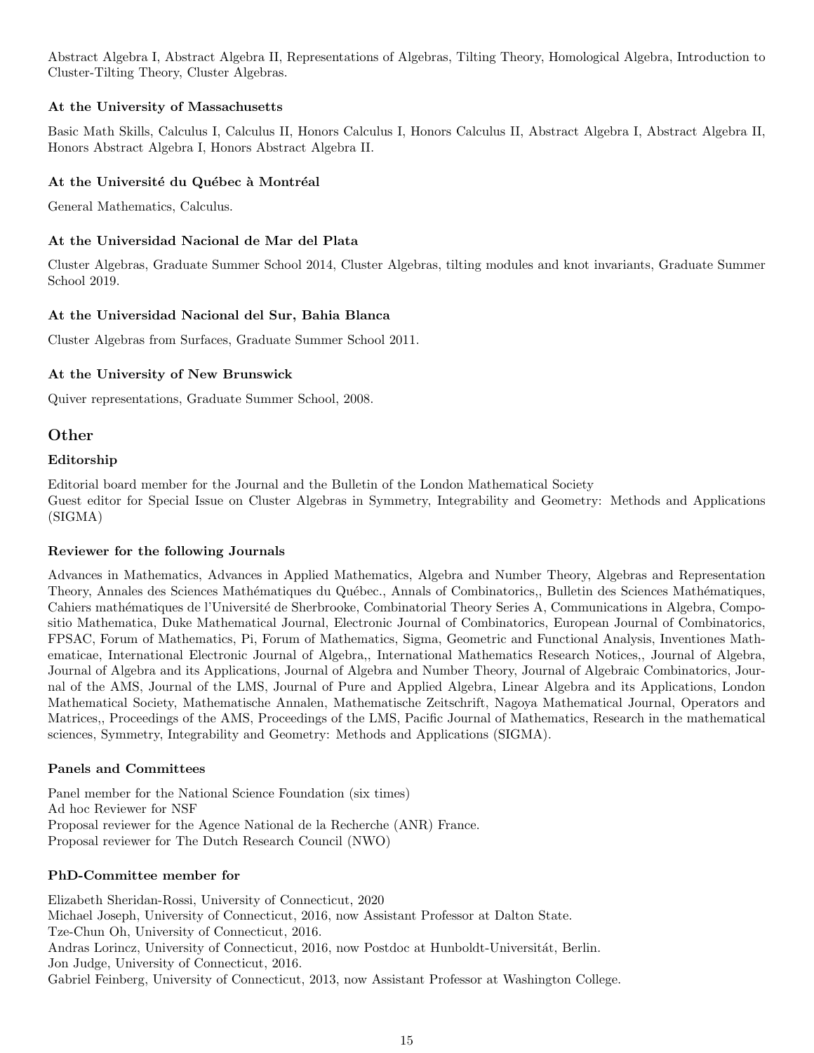Abstract Algebra I, Abstract Algebra II, Representations of Algebras, Tilting Theory, Homological Algebra, Introduction to Cluster-Tilting Theory, Cluster Algebras.

## At the University of Massachusetts

Basic Math Skills, Calculus I, Calculus II, Honors Calculus I, Honors Calculus II, Abstract Algebra I, Abstract Algebra II, Honors Abstract Algebra I, Honors Abstract Algebra II.

## At the Université du Québec à Montréal

General Mathematics, Calculus.

## At the Universidad Nacional de Mar del Plata

Cluster Algebras, Graduate Summer School 2014, Cluster Algebras, tilting modules and knot invariants, Graduate Summer School 2019.

## At the Universidad Nacional del Sur, Bahia Blanca

Cluster Algebras from Surfaces, Graduate Summer School 2011.

## At the University of New Brunswick

Quiver representations, Graduate Summer School, 2008.

## Other

### Editorship

Editorial board member for the Journal and the Bulletin of the London Mathematical Society Guest editor for Special Issue on Cluster Algebras in Symmetry, Integrability and Geometry: Methods and Applications (SIGMA)

### Reviewer for the following Journals

Advances in Mathematics, Advances in Applied Mathematics, Algebra and Number Theory, Algebras and Representation Theory, Annales des Sciences Mathématiques du Québec., Annals of Combinatorics,, Bulletin des Sciences Mathématiques, Cahiers mathématiques de l'Université de Sherbrooke, Combinatorial Theory Series A, Communications in Algebra, Compositio Mathematica, Duke Mathematical Journal, Electronic Journal of Combinatorics, European Journal of Combinatorics, FPSAC, Forum of Mathematics, Pi, Forum of Mathematics, Sigma, Geometric and Functional Analysis, Inventiones Mathematicae, International Electronic Journal of Algebra,, International Mathematics Research Notices,, Journal of Algebra, Journal of Algebra and its Applications, Journal of Algebra and Number Theory, Journal of Algebraic Combinatorics, Journal of the AMS, Journal of the LMS, Journal of Pure and Applied Algebra, Linear Algebra and its Applications, London Mathematical Society, Mathematische Annalen, Mathematische Zeitschrift, Nagoya Mathematical Journal, Operators and Matrices,, Proceedings of the AMS, Proceedings of the LMS, Pacific Journal of Mathematics, Research in the mathematical sciences, Symmetry, Integrability and Geometry: Methods and Applications (SIGMA).

### Panels and Committees

Panel member for the National Science Foundation (six times) Ad hoc Reviewer for NSF Proposal reviewer for the Agence National de la Recherche (ANR) France. Proposal reviewer for The Dutch Research Council (NWO)

### PhD-Committee member for

Elizabeth Sheridan-Rossi, University of Connecticut, 2020 Michael Joseph, University of Connecticut, 2016, now Assistant Professor at Dalton State. Tze-Chun Oh, University of Connecticut, 2016. Andras Lorincz, University of Connecticut, 2016, now Postdoc at Hunboldt-Universitát, Berlin. Jon Judge, University of Connecticut, 2016. Gabriel Feinberg, University of Connecticut, 2013, now Assistant Professor at Washington College.